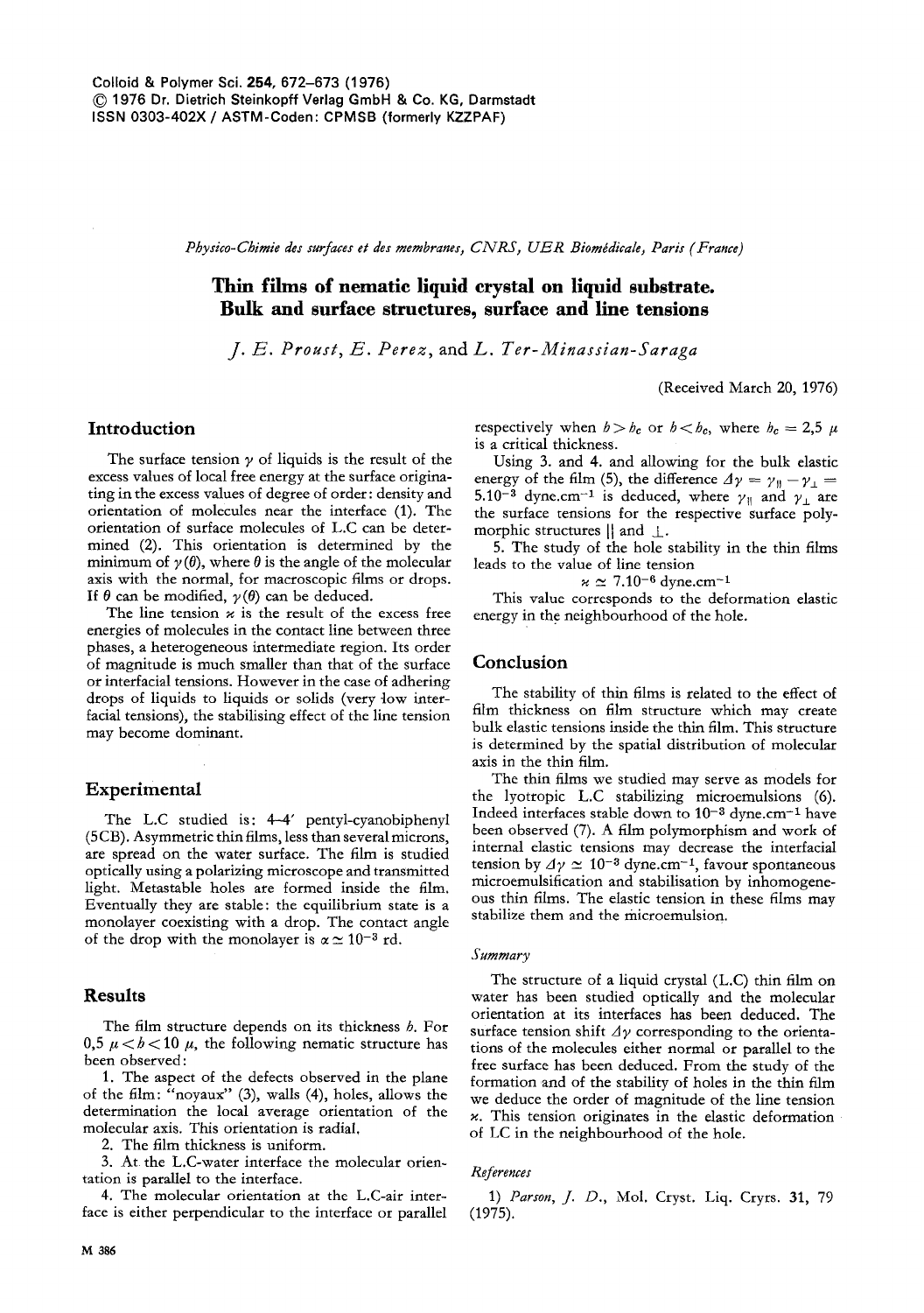*Physico-Chimie des surfaces et des membranes, CNRS, UER Biomadicale, Paris (France)* 

# **Thin films of nematic liquid crystal on liquid substrate. Bulk and surface structures, surface and line tensions**

*J. E. Proust, E. Perez, and L. Ter-Minassian-Saraga* 

(Received March 20, 1976)

### **Introduction**

The surface tension  $\gamma$  of liquids is the result of the excess values of local free energy at the surface originating in the excess values of degree of order: density **and**  orientation of molecules near the interface (1). The orientation of surface molecules of L.C can be determined (2). This orientation is determined by the minimum of  $\gamma(\theta)$ , where  $\theta$  is the angle of the molecular axis with the normal, for macroscopic films or drops. If  $\theta$  can be modified,  $\gamma(\theta)$  can be deduced.

The line tension  $\varkappa$  is the result of the excess free energies of molecules in the contact line between three phases, a heterogeneous intermediate region. Its order of magnitude is much smaller than that of the surface or interfacial tensions. However in the case of adhering drops of liquids to liquids or solids (very low interfacial tensions), the stabilising effect of the line tension **may** become dominant.

### **Experimental**

The L.C studied is: 4-4' pentyl-cyanobiphenyl (5 CB). Asymmetric thin films, less than several microns, are spread on the water surface. The film is studied optically using a polarizing microscope and transmitted light. Metastable holes are formed inside the film. Eventually they are stable: the equilibrium state is a monolayer coexisting with a drop. The contact angle of the drop with the monolayer is  $\alpha \approx 10^{-3}$  rd.

## **Results**

The film structure depends on its thickness  $b$ . For 0,5  $\mu < b < 10$   $\mu$ , the following nematic structure has been observed :

1. The aspect of the defects observed in the plane of the film: "noyaux" (3), wails (4), holes, allows the determination the local average orientation of the molecular axis. This orientation is radial,

2. The film thickness is uniform.

3. At the L.C-water interface the molecular orientation is parallel to the interface.

4. The molecular orientation at the L.C-air interface is either perpendicular to the interface or parallel respectively when  $b > b_c$  or  $b < b_c$ , where  $b_c = 2.5 \mu$ is a critical thickness.

Using 3. and 4. and allowing for the bulk elastic energy of the film (5), the difference  $\Delta \gamma = \gamma_0 - \gamma_1 =$ 5.10<sup>-3</sup> dyne.cm<sup>-1</sup> is deduced, where  $\gamma_{\parallel}$  and  $\gamma_{\perp}$  are the surface tensions for the respective surface polymorphic structures  $\parallel$  and  $\perp$ .

5. The study of the hole stability in the thin films leads to the value of line tension

 $\varkappa \simeq 7.10^{-6}$  dyne.cm<sup>-1</sup>

This value corresponds to the deformation elastic energy in the neighbourhood of the hole.

#### **Conclusion**

The stability of thin films is related to the effect of film thickness on film structure which may create bulk elastic tensions inside the thin film. This structure is determined by the spatial distribution of molecular axis in the thin film.

The thin films we studied may serve as models for the lyotropic L.C stabilizing microemulsions (6). Indeed interfaces stable down to  $10^{-3}$  dyne.cm<sup>-1</sup> have been observed (7). A film polymorphism and work of internal elastic tensions may decrease the interfacial tension by  $\Delta \gamma \simeq 10^{-3}$  dyne.cm<sup>-1</sup>, favour spontaneous microemulsification and stabilisation by inhomogeneous thin films. The elastic tension in these films may stabilize them and the microemulsion.

#### *Summary*

The structure of a liquid crystal (L.C) thin film on water has been studied optically and the molecular orientation at its interfaces has been deduced. The surface tension shift  $\Delta y$  corresponding to the orientations of the molecules either normal or parallel to the free surface has been deduced. From the study of the formation and of the stability of holes in the thin film we deduce the order of magnitude of the line tension  $\varkappa$ . This tension originates in the elastic deformation of LC in the neighbourhood of the hole.

#### References

1) *Parson, J. D.,* Mol. Cryst. Liq. Cryrs. 31, 79 (1975).